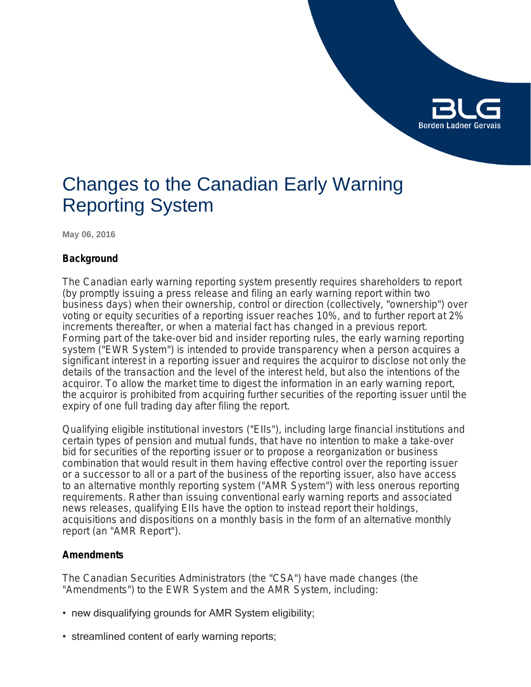

# Changes to the Canadian Early Warning Reporting System

**May 06, 2016**

# **Background**

The Canadian early warning reporting system presently requires shareholders to report (by promptly issuing a press release and filing an early warning report within two business days) when their ownership, control or direction (collectively, "ownership") over voting or equity securities of a reporting issuer reaches 10%, and to further report at 2% increments thereafter, or when a material fact has changed in a previous report. Forming part of the take-over bid and insider reporting rules, the early warning reporting system ("EWR System") is intended to provide transparency when a person acquires a significant interest in a reporting issuer and requires the acquiror to disclose not only the details of the transaction and the level of the interest held, but also the intentions of the acquiror. To allow the market time to digest the information in an early warning report, the acquiror is prohibited from acquiring further securities of the reporting issuer until the expiry of one full trading day after filing the report.

Qualifying eligible institutional investors ("EIIs"), including large financial institutions and certain types of pension and mutual funds, that have no intention to make a take-over bid for securities of the reporting issuer or to propose a reorganization or business combination that would result in them having effective control over the reporting issuer or a successor to all or a part of the business of the reporting issuer, also have access to an alternative monthly reporting system ("AMR System") with less onerous reporting requirements. Rather than issuing conventional early warning reports and associated news releases, qualifying EIIs have the option to instead report their holdings, acquisitions and dispositions on a monthly basis in the form of an alternative monthly report (an "AMR Report").

# **Amendments**

The Canadian Securities Administrators (the "CSA") have made changes (the "Amendments") to the EWR System and the AMR System, including:

- new disqualifying grounds for AMR System eligibility;
- streamlined content of early warning reports;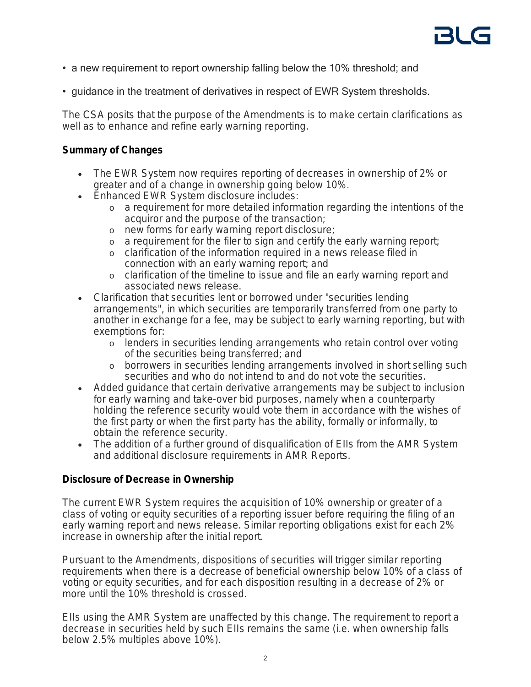- a new requirement to report ownership falling below the 10% threshold; and
- guidance in the treatment of derivatives in respect of EWR System thresholds.

The CSA posits that the purpose of the Amendments is to make certain clarifications as well as to enhance and refine early warning reporting.

# **Summary of Changes**

- The EWR System now requires reporting of decreases in ownership of 2% or greater and of a change in ownership going below 10%.
- **Enhanced EWR System disclosure includes:** 
	- o a requirement for more detailed information regarding the intentions of the acquiror and the purpose of the transaction;
	- o new forms for early warning report disclosure;
	- o a requirement for the filer to sign and certify the early warning report;
	- o clarification of the information required in a news release filed in connection with an early warning report; and
	- o clarification of the timeline to issue and file an early warning report and associated news release.
- Clarification that securities lent or borrowed under "securities lending arrangements", in which securities are temporarily transferred from one party to another in exchange for a fee, may be subject to early warning reporting, but with exemptions for:
	- o lenders in securities lending arrangements who retain control over voting of the securities being transferred; and
	- o borrowers in securities lending arrangements involved in short selling such securities and who do not intend to and do not vote the securities.
- Added guidance that certain derivative arrangements may be subject to inclusion for early warning and take-over bid purposes, namely when a counterparty holding the reference security would vote them in accordance with the wishes of the first party or when the first party has the ability, formally or informally, to obtain the reference security.
- The addition of a further ground of disqualification of Ells from the AMR System and additional disclosure requirements in AMR Reports.

# **Disclosure of Decrease in Ownership**

The current EWR System requires the acquisition of 10% ownership or greater of a class of voting or equity securities of a reporting issuer before requiring the filing of an early warning report and news release. Similar reporting obligations exist for each 2% increase in ownership after the initial report.

Pursuant to the Amendments, dispositions of securities will trigger similar reporting requirements when there is a decrease of beneficial ownership below 10% of a class of voting or equity securities, and for each disposition resulting in a decrease of 2% or more until the 10% threshold is crossed.

EIIs using the AMR System are unaffected by this change. The requirement to report a decrease in securities held by such EIIs remains the same (i.e. when ownership falls below 2.5% multiples above 10%).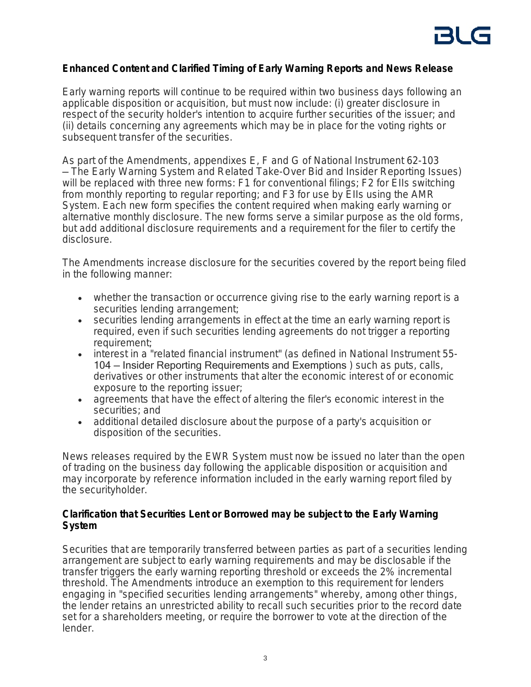#### **Enhanced Content and Clarified Timing of Early Warning Reports and News Release**

Early warning reports will continue to be required within two business days following an applicable disposition or acquisition, but must now include: (i) greater disclosure in respect of the security holder's intention to acquire further securities of the issuer; and (ii) details concerning any agreements which may be in place for the voting rights or subsequent transfer of the securities.

As part of the Amendments, appendixes E, F and G of National Instrument 62-103 — *The Early Warning System and Related Take-Over Bid and Insider Reporting Issues*) will be replaced with three new forms: F1 for conventional filings; F2 for Ells switching from monthly reporting to regular reporting; and F3 for use by EIIs using the AMR System. Each new form specifies the content required when making early warning or alternative monthly disclosure. The new forms serve a similar purpose as the old forms, but add additional disclosure requirements and a requirement for the filer to certify the disclosure.

The Amendments increase disclosure for the securities covered by the report being filed in the following manner:

- whether the transaction or occurrence giving rise to the early warning report is a securities lending arrangement;
- securities lending arrangements in effect at the time an early warning report is required, even if such securities lending agreements do not trigger a reporting requirement;
- interest in a "related financial instrument" (as defined in National Instrument 55- 104 — Insider Reporting Requirements and Exemptions ) such as puts, calls, derivatives or other instruments that alter the economic interest of or economic exposure to the reporting issuer;
- agreements that have the effect of altering the filer's economic interest in the securities; and
- additional detailed disclosure about the purpose of a party's acquisition or disposition of the securities.

News releases required by the EWR System must now be issued no later than the open of trading on the business day following the applicable disposition or acquisition and may incorporate by reference information included in the early warning report filed by the securityholder.

# **Clarification that Securities Lent or Borrowed may be subject to the Early Warning System**

Securities that are temporarily transferred between parties as part of a securities lending arrangement are subject to early warning requirements and may be disclosable if the transfer triggers the early warning reporting threshold or exceeds the 2% incremental threshold. The Amendments introduce an exemption to this requirement for lenders engaging in "specified securities lending arrangements" whereby, among other things, the lender retains an unrestricted ability to recall such securities prior to the record date set for a shareholders meeting, or require the borrower to vote at the direction of the lender.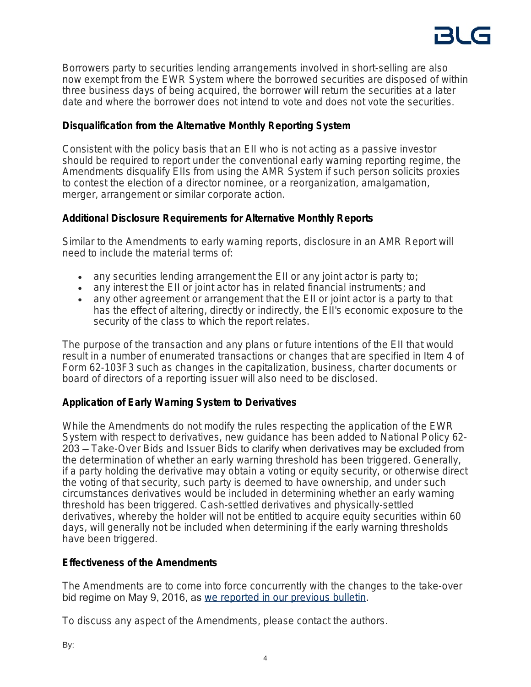

Borrowers party to securities lending arrangements involved in short-selling are also now exempt from the EWR System where the borrowed securities are disposed of within three business days of being acquired, the borrower will return the securities at a later date and where the borrower does not intend to vote and does not vote the securities.

# **Disqualification from the Alternative Monthly Reporting System**

Consistent with the policy basis that an EII who is not acting as a passive investor should be required to report under the conventional early warning reporting regime, the Amendments disqualify EIIs from using the AMR System if such person solicits proxies to contest the election of a director nominee, or a reorganization, amalgamation, merger, arrangement or similar corporate action.

# **Additional Disclosure Requirements for Alternative Monthly Reports**

Similar to the Amendments to early warning reports, disclosure in an AMR Report will need to include the material terms of:

- any securities lending arrangement the EII or any joint actor is party to;
- any interest the EII or joint actor has in related financial instruments; and
- any other agreement or arrangement that the EII or joint actor is a party to that has the effect of altering, directly or indirectly, the EII's economic exposure to the security of the class to which the report relates.

The purpose of the transaction and any plans or future intentions of the EII that would result in a number of enumerated transactions or changes that are specified in Item 4 of Form 62-103F3 such as changes in the capitalization, business, charter documents or board of directors of a reporting issuer will also need to be disclosed.

# **Application of Early Warning System to Derivatives**

While the Amendments do not modify the rules respecting the application of the EWR System with respect to derivatives, new guidance has been added to National Policy 62- 203 — *Take-Over Bids and Issuer Bids* to clarify when derivatives may be excluded from the determination of whether an early warning threshold has been triggered. Generally, if a party holding the derivative may obtain a voting or equity security, or otherwise direct the voting of that security, such party is deemed to have ownership, and under such circumstances derivatives would be included in determining whether an early warning threshold has been triggered. Cash-settled derivatives and physically-settled derivatives, whereby the holder will not be entitled to acquire equity securities within 60 days, will generally not be included when determining if the early warning thresholds have been triggered.

# **Effectiveness of the Amendments**

The Amendments are to come into force concurrently with the changes to the take-over bid regime on May 9, 2016, as [we reported in our previous bulletin](https://blg.com/en/News-And-Publications/Pages/Publication_4436.aspx).

To discuss any aspect of the Amendments, please contact the authors.